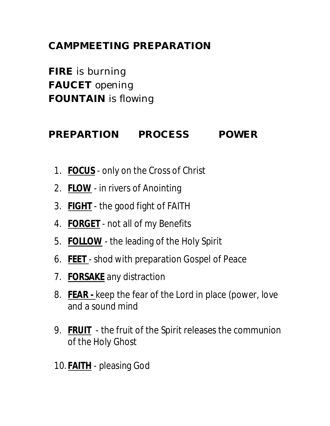## **CAMPMEETING PREPARATION**

**FIRE** is burning **FAUCET** opening **FOUNTAIN** is flowing

## **PREPARTION PROCESS POWER**

- 1. **FOCUS** only on the Cross of Christ
- 2. **FLOW** in rivers of Anointing
- 3. **FIGHT** the good fight of FAITH
- 4. **FORGET** not all of my Benefits
- 5. **FOLLOW** the leading of the Holy Spirit
- 6. **FEET**  shod with preparation Gospel of Peace
- 7. **FORSAKE** any distraction
- 8. **FEAR -** keep the fear of the Lord in place (power, love and a sound mind
- 9. **FRUIT** the fruit of the Spirit releases the communion of the Holy Ghost
- 10. **FAITH** pleasing God